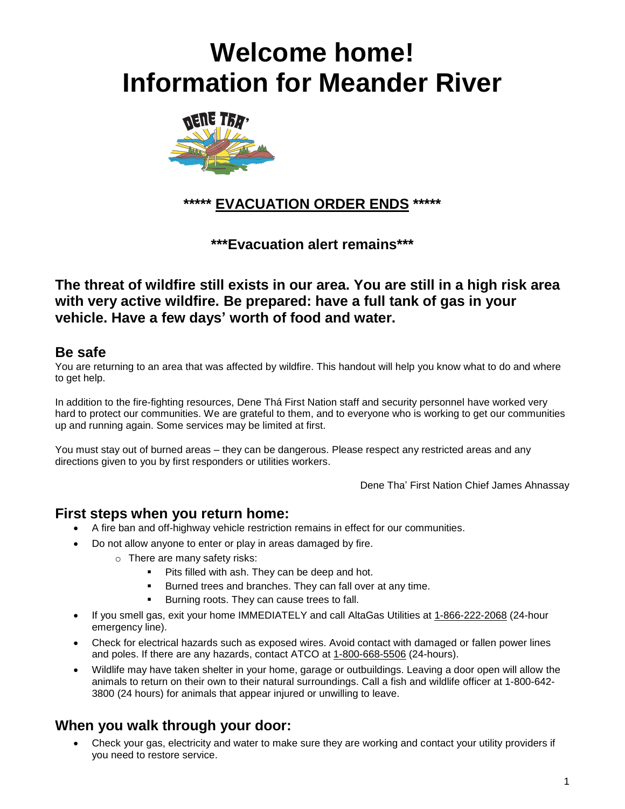# **Welcome home! Information for Meander River**



**\*\*\*\*\* EVACUATION ORDER ENDS \*\*\*\*\***

**\*\*\*Evacuation alert remains\*\*\***

**The threat of wildfire still exists in our area. You are still in a high risk area with very active wildfire. Be prepared: have a full tank of gas in your vehicle. Have a few days' worth of food and water.**

#### **Be safe**

You are returning to an area that was affected by wildfire. This handout will help you know what to do and where to get help.

In addition to the fire-fighting resources, Dene Thá First Nation staff and security personnel have worked very hard to protect our communities. We are grateful to them, and to everyone who is working to get our communities up and running again. Some services may be limited at first.

You must stay out of burned areas – they can be dangerous. Please respect any restricted areas and any directions given to you by first responders or utilities workers.

Dene Tha' First Nation Chief James Ahnassay

# **First steps when you return home:**

- A fire ban and off-highway vehicle restriction remains in effect for our communities.
- Do not allow anyone to enter or play in areas damaged by fire.
	- o There are many safety risks:
		- Pits filled with ash. They can be deep and hot.
		- Burned trees and branches. They can fall over at any time.
		- Burning roots. They can cause trees to fall.
- If you smell gas, exit your home IMMEDIATELY and call AltaGas Utilities at 1-866-222-2068 (24-hour emergency line).
- Check for electrical hazards such as exposed wires. Avoid contact with damaged or fallen power lines and poles. If there are any hazards, contact ATCO at 1-800-668-5506 (24-hours).
- Wildlife may have taken shelter in your home, garage or outbuildings. Leaving a door open will allow the animals to return on their own to their natural surroundings. Call a fish and wildlife officer at 1-800-642- 3800 (24 hours) for animals that appear injured or unwilling to leave.

# **When you walk through your door:**

• Check your gas, electricity and water to make sure they are working and contact your utility providers if you need to restore service.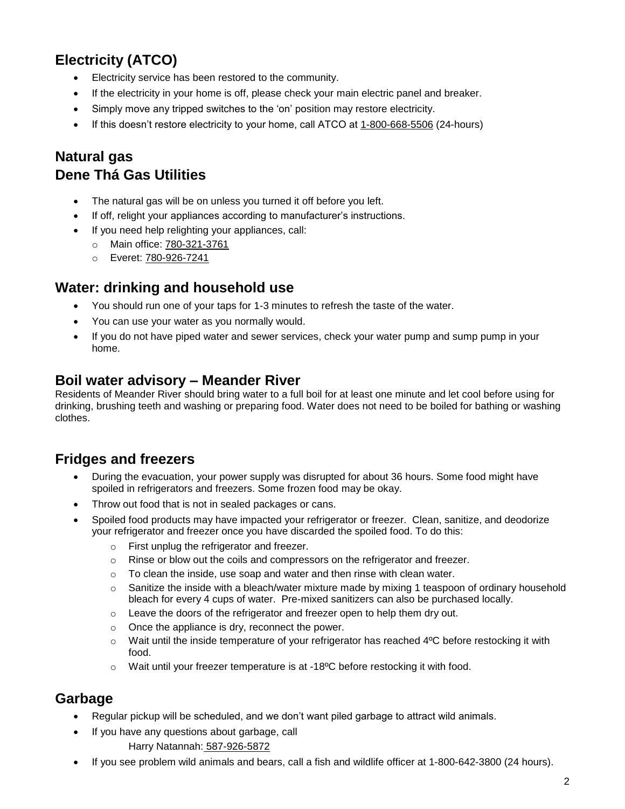# **Electricity (ATCO)**

- Electricity service has been restored to the community.
- If the electricity in your home is off, please check your main electric panel and breaker.
- Simply move any tripped switches to the 'on' position may restore electricity.
- If this doesn't restore electricity to your home, call ATCO at 1-800-668-5506 (24-hours)

# **Natural gas Dene Thá Gas Utilities**

- The natural gas will be on unless you turned it off before you left.
- If off, relight your appliances according to manufacturer's instructions.
- If you need help relighting your appliances, call:
	- o Main office: 780-321-3761
	- o Everet: 780-926-7241

#### **Water: drinking and household use**

- You should run one of your taps for 1-3 minutes to refresh the taste of the water.
- You can use your water as you normally would.
- If you do not have piped water and sewer services, check your water pump and sump pump in your home.

#### **Boil water advisory – Meander River**

Residents of Meander River should bring water to a full boil for at least one minute and let cool before using for drinking, brushing teeth and washing or preparing food. Water does not need to be boiled for bathing or washing clothes.

#### **Fridges and freezers**

- During the evacuation, your power supply was disrupted for about 36 hours. Some food might have spoiled in refrigerators and freezers. Some frozen food may be okay.
- Throw out food that is not in sealed packages or cans.
- Spoiled food products may have impacted your refrigerator or freezer. Clean, sanitize, and deodorize your refrigerator and freezer once you have discarded the spoiled food. To do this:
	- o First unplug the refrigerator and freezer.
	- $\circ$  Rinse or blow out the coils and compressors on the refrigerator and freezer.
	- $\circ$  To clean the inside, use soap and water and then rinse with clean water.
	- $\circ$  Sanitize the inside with a bleach/water mixture made by mixing 1 teaspoon of ordinary household bleach for every 4 cups of water. Pre-mixed sanitizers can also be purchased locally.
	- o Leave the doors of the refrigerator and freezer open to help them dry out.
	- o Once the appliance is dry, reconnect the power.
	- $\circ$  Wait until the inside temperature of your refrigerator has reached 4 $\degree$ C before restocking it with food.
	- $\circ$  Wait until your freezer temperature is at -18 $\degree$ C before restocking it with food.

#### **Garbage**

- Regular pickup will be scheduled, and we don't want piled garbage to attract wild animals.
- If you have any questions about garbage, call Harry Natannah: 587-926-5872
- If you see problem wild animals and bears, call a fish and wildlife officer at 1-800-642-3800 (24 hours).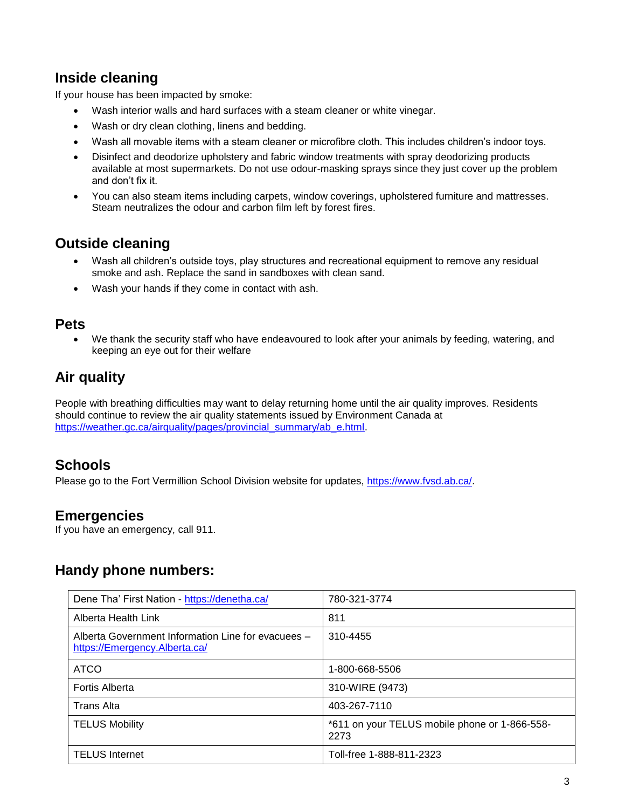# **Inside cleaning**

If your house has been impacted by smoke:

- Wash interior walls and hard surfaces with a steam cleaner or white vinegar.
- Wash or dry clean clothing, linens and bedding.
- Wash all movable items with a steam cleaner or microfibre cloth. This includes children's indoor toys.
- Disinfect and deodorize upholstery and fabric window treatments with spray deodorizing products available at most supermarkets. Do not use odour-masking sprays since they just cover up the problem and don't fix it.
- You can also steam items including carpets, window coverings, upholstered furniture and mattresses. Steam neutralizes the odour and carbon film left by forest fires.

# **Outside cleaning**

- Wash all children's outside toys, play structures and recreational equipment to remove any residual smoke and ash. Replace the sand in sandboxes with clean sand.
- Wash your hands if they come in contact with ash.

#### **Pets**

• We thank the security staff who have endeavoured to look after your animals by feeding, watering, and keeping an eye out for their welfare

# **Air quality**

People with breathing difficulties may want to delay returning home until the air quality improves. Residents should continue to review the air quality statements issued by Environment Canada at [https://weather.gc.ca/airquality/pages/provincial\\_summary/ab\\_e.html.](https://weather.gc.ca/airquality/pages/provincial_summary/ab_e.html)

#### **Schools**

Please go to the Fort Vermillion School Division website for updates, [https://www.fvsd.ab.ca/.](https://www.fvsd.ab.ca/)

#### **Emergencies**

If you have an emergency, call 911.

#### **Handy phone numbers:**

| Dene Tha' First Nation - https://denetha.ca/                                        | 780-321-3774                                          |
|-------------------------------------------------------------------------------------|-------------------------------------------------------|
| Alberta Health Link                                                                 | 811                                                   |
| Alberta Government Information Line for evacuees -<br>https://Emergency.Alberta.ca/ | 310-4455                                              |
| <b>ATCO</b>                                                                         | 1-800-668-5506                                        |
| Fortis Alberta                                                                      | 310-WIRE (9473)                                       |
| <b>Trans Alta</b>                                                                   | 403-267-7110                                          |
| <b>TELUS Mobility</b>                                                               | *611 on your TELUS mobile phone or 1-866-558-<br>2273 |
| <b>TELUS Internet</b>                                                               | Toll-free 1-888-811-2323                              |